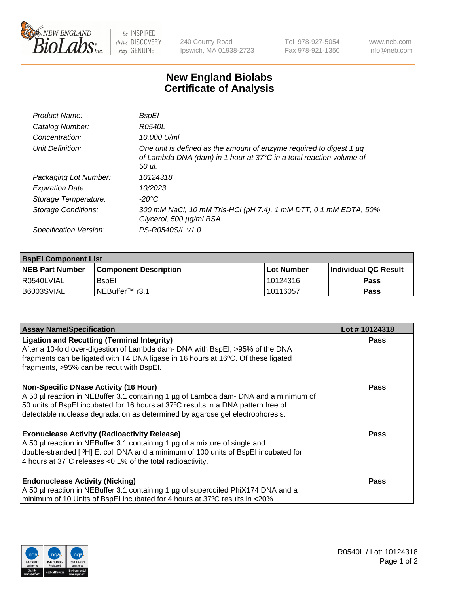

 $be$  INSPIRED drive DISCOVERY stay GENUINE

240 County Road Ipswich, MA 01938-2723 Tel 978-927-5054 Fax 978-921-1350 www.neb.com info@neb.com

## **New England Biolabs Certificate of Analysis**

| Product Name:           | BspEl                                                                                                                                                |
|-------------------------|------------------------------------------------------------------------------------------------------------------------------------------------------|
| Catalog Number:         | R0540L                                                                                                                                               |
| Concentration:          | 10,000 U/ml                                                                                                                                          |
| Unit Definition:        | One unit is defined as the amount of enzyme required to digest 1 µg<br>of Lambda DNA (dam) in 1 hour at 37°C in a total reaction volume of<br>50 µI. |
| Packaging Lot Number:   | 10124318                                                                                                                                             |
| <b>Expiration Date:</b> | 10/2023                                                                                                                                              |
| Storage Temperature:    | $-20^{\circ}$ C                                                                                                                                      |
| Storage Conditions:     | 300 mM NaCl, 10 mM Tris-HCl (pH 7.4), 1 mM DTT, 0.1 mM EDTA, 50%<br>Glycerol, 500 µg/ml BSA                                                          |
| Specification Version:  | PS-R0540S/L v1.0                                                                                                                                     |

| <b>BspEl Component List</b> |                         |             |                             |  |
|-----------------------------|-------------------------|-------------|-----------------------------|--|
| <b>NEB Part Number</b>      | l Component Description | ⊺Lot Number | <b>Individual QC Result</b> |  |
| R0540LVIAL                  | <b>B</b> spEl           | 10124316    | Pass                        |  |
| B6003SVIAL                  | NEBuffer™ r3.1          | l 10116057  | Pass                        |  |

| <b>Assay Name/Specification</b>                                                                                                                                                                                                                                                                            | Lot #10124318 |
|------------------------------------------------------------------------------------------------------------------------------------------------------------------------------------------------------------------------------------------------------------------------------------------------------------|---------------|
| <b>Ligation and Recutting (Terminal Integrity)</b><br>After a 10-fold over-digestion of Lambda dam- DNA with BspEI, >95% of the DNA                                                                                                                                                                        | <b>Pass</b>   |
| fragments can be ligated with T4 DNA ligase in 16 hours at 16°C. Of these ligated<br>fragments, >95% can be recut with BspEI.                                                                                                                                                                              |               |
| <b>Non-Specific DNase Activity (16 Hour)</b><br>A 50 µl reaction in NEBuffer 3.1 containing 1 µg of Lambda dam- DNA and a minimum of<br>50 units of BspEI incubated for 16 hours at 37°C results in a DNA pattern free of<br>detectable nuclease degradation as determined by agarose gel electrophoresis. | <b>Pass</b>   |
| <b>Exonuclease Activity (Radioactivity Release)</b><br>A 50 µl reaction in NEBuffer 3.1 containing 1 µg of a mixture of single and<br>double-stranded [ <sup>3</sup> H] E. coli DNA and a minimum of 100 units of BspEI incubated for<br>4 hours at 37°C releases < 0.1% of the total radioactivity.       | <b>Pass</b>   |
| <b>Endonuclease Activity (Nicking)</b><br>A 50 µl reaction in NEBuffer 3.1 containing 1 µg of supercoiled PhiX174 DNA and a<br>minimum of 10 Units of BspEI incubated for 4 hours at 37°C results in <20%                                                                                                  | <b>Pass</b>   |